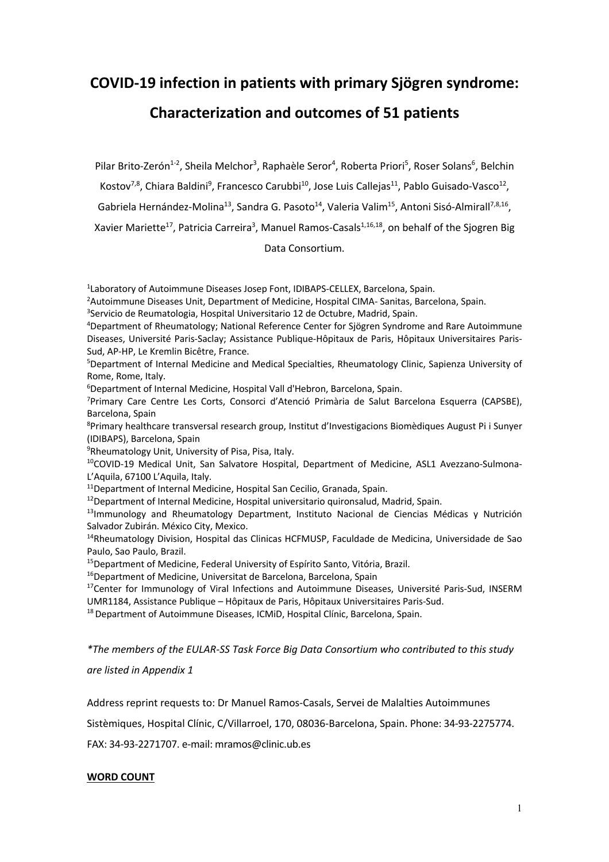# **COVID-19 infection in patients with primary Sjögren syndrome: Characterization and outcomes of 51 patients**

Pilar Brito-Zerón<sup>1-2</sup>, Sheila Melchor<sup>3</sup>, Raphaèle Seror<sup>4</sup>, Roberta Priori<sup>5</sup>, Roser Solans<sup>6</sup>, Belchin Kostov<sup>7,8</sup>, Chiara Baldini<sup>9</sup>, Francesco Carubbi<sup>10</sup>, Jose Luis Callejas<sup>11</sup>, Pablo Guisado-Vasco<sup>12</sup>, Gabriela Hernández-Molina<sup>13</sup>, Sandra G. Pasoto<sup>14</sup>, Valeria Valim<sup>15</sup>, Antoni Sisó-Almirall<sup>7,8,16</sup>, Xavier Mariette<sup>17</sup>, Patricia Carreira<sup>3</sup>, Manuel Ramos-Casals<sup>1,16,18</sup>, on behalf of the Sjogren Big Data Consortium.

<sup>1</sup> Laboratory of Autoimmune Diseases Josep Font, IDIBAPS-CELLEX, Barcelona, Spain.

<sup>2</sup>Autoimmune Diseases Unit, Department of Medicine, Hospital CIMA- Sanitas, Barcelona, Spain.

- <sup>3</sup>Servicio de Reumatologia, Hospital Universitario 12 de Octubre, Madrid, Spain.
- 4 Department of Rheumatology; National Reference Center for Sjögren Syndrome and Rare Autoimmune Diseases, Université Paris-Saclay; Assistance Publique-Hôpitaux de Paris, Hôpitaux Universitaires Paris-Sud, AP-HP, Le Kremlin Bicêtre, France.

5 Department of Internal Medicine and Medical Specialties, Rheumatology Clinic, Sapienza University of Rome, Rome, Italy.

6 Department of Internal Medicine, Hospital Vall d'Hebron, Barcelona, Spain.

<sup>7</sup>Primary Care Centre Les Corts, Consorci d'Atenció Primària de Salut Barcelona Esquerra (CAPSBE), Barcelona, Spain

<sup>8</sup>Primary healthcare transversal research group, Institut d'Investigacions Biomèdiques August Pi i Sunyer (IDIBAPS), Barcelona, Spain

<sup>9</sup>Rheumatology Unit, University of Pisa, Pisa, Italy.

<sup>10</sup>COVID-19 Medical Unit, San Salvatore Hospital, Department of Medicine, ASL1 Avezzano-Sulmona-L'Aquila, 67100 L'Aquila, Italy.

11Department of Internal Medicine, Hospital San Cecilio, Granada, Spain.

<sup>12</sup>Department of Internal Medicine, Hospital universitario quironsalud, Madrid, Spain.

 $<sup>13</sup>$ Immunology and Rheumatology Department, Instituto Nacional de Ciencias Médicas y Nutrición</sup> Salvador Zubirán. México City, Mexico.

<sup>14</sup>Rheumatology Division, Hospital das Clinicas HCFMUSP, Faculdade de Medicina, Universidade de Sao Paulo, Sao Paulo, Brazil.

<sup>15</sup>Department of Medicine, Federal University of Espírito Santo, Vitória, Brazil.

<sup>16</sup>Department of Medicine, Universitat de Barcelona, Barcelona, Spain

<sup>17</sup>Center for Immunology of Viral Infections and Autoimmune Diseases, Université Paris-Sud, INSERM UMR1184, Assistance Publique – Hôpitaux de Paris, Hôpitaux Universitaires Paris-Sud.

<sup>18</sup> Department of Autoimmune Diseases, ICMiD, Hospital Clínic, Barcelona, Spain.

*\*The members of the EULAR-SS Task Force Big Data Consortium who contributed to this study* 

*are listed in Appendix 1*

Address reprint requests to: Dr Manuel Ramos-Casals, Servei de Malalties Autoimmunes

Sistèmiques, Hospital Clínic, C/Villarroel, 170, 08036-Barcelona, Spain. Phone: 34-93-2275774.

FAX: 34-93-2271707. e-mail: mramos@clinic.ub.es

## **WORD COUNT**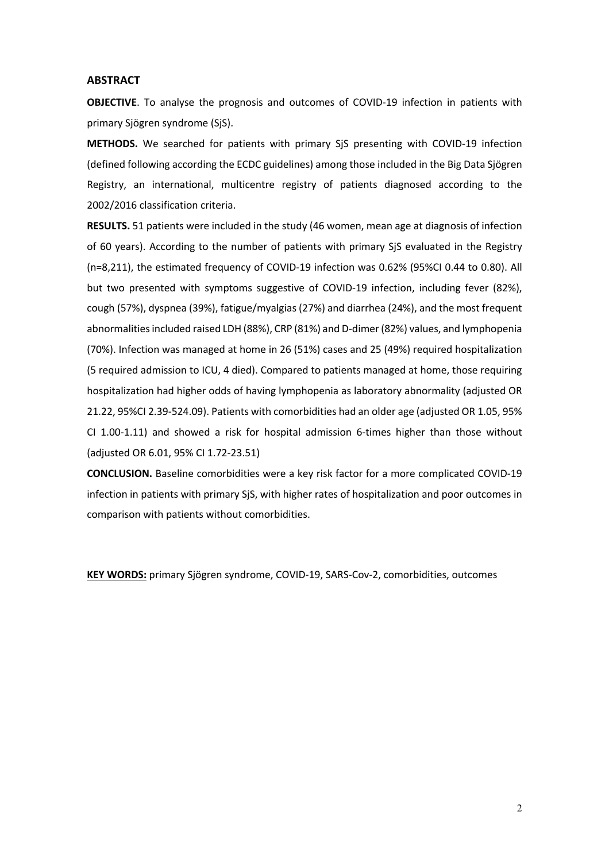#### **ABSTRACT**

**OBJECTIVE**. To analyse the prognosis and outcomes of COVID-19 infection in patients with primary Sjögren syndrome (SjS).

**METHODS.** We searched for patients with primary SjS presenting with COVID-19 infection (defined following according the ECDC guidelines) among those included in the Big Data Sjögren Registry, an international, multicentre registry of patients diagnosed according to the 2002/2016 classification criteria.

**RESULTS.** 51 patients were included in the study (46 women, mean age at diagnosis of infection of 60 years). According to the number of patients with primary SjS evaluated in the Registry (n=8,211), the estimated frequency of COVID-19 infection was 0.62% (95%CI 0.44 to 0.80). All but two presented with symptoms suggestive of COVID-19 infection, including fever (82%), cough (57%), dyspnea (39%), fatigue/myalgias (27%) and diarrhea (24%), and the most frequent abnormalities included raised LDH (88%), CRP (81%) and D-dimer (82%) values, and lymphopenia (70%). Infection was managed at home in 26 (51%) cases and 25 (49%) required hospitalization (5 required admission to ICU, 4 died). Compared to patients managed at home, those requiring hospitalization had higher odds of having lymphopenia as laboratory abnormality (adjusted OR 21.22, 95%CI 2.39-524.09). Patients with comorbidities had an older age (adjusted OR 1.05, 95% CI 1.00-1.11) and showed a risk for hospital admission 6-times higher than those without (adjusted OR 6.01, 95% CI 1.72-23.51)

**CONCLUSION.** Baseline comorbidities were a key risk factor for a more complicated COVID-19 infection in patients with primary SjS, with higher rates of hospitalization and poor outcomes in comparison with patients without comorbidities.

**KEY WORDS:** primary Sjögren syndrome, COVID-19, SARS-Cov-2, comorbidities, outcomes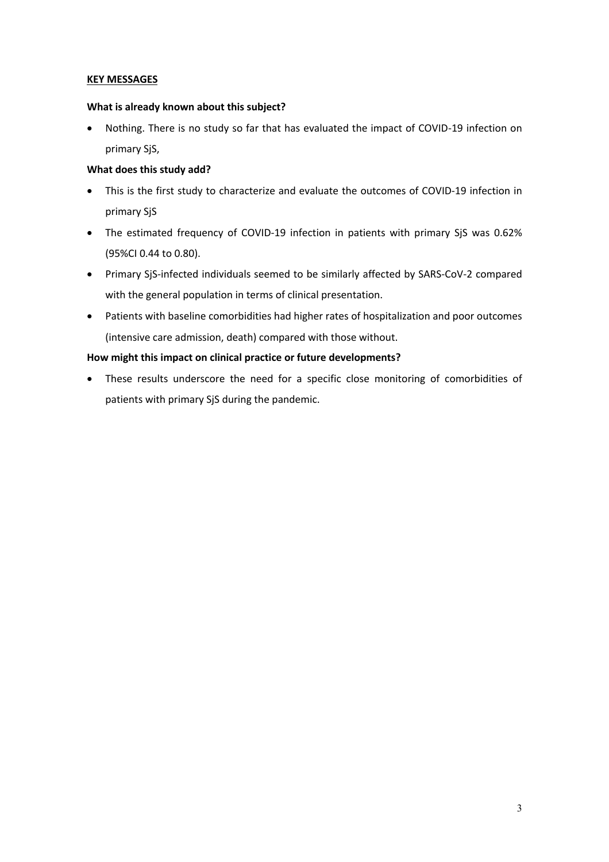# **KEY MESSAGES**

## **What is already known about this subject?**

• Nothing. There is no study so far that has evaluated the impact of COVID-19 infection on primary SjS,

# **What does this study add?**

- This is the first study to characterize and evaluate the outcomes of COVID-19 infection in primary SjS
- The estimated frequency of COVID-19 infection in patients with primary SjS was 0.62% (95%CI 0.44 to 0.80).
- Primary SjS-infected individuals seemed to be similarly affected by SARS-CoV-2 compared with the general population in terms of clinical presentation.
- Patients with baseline comorbidities had higher rates of hospitalization and poor outcomes (intensive care admission, death) compared with those without.

# **How might this impact on clinical practice or future developments?**

• These results underscore the need for a specific close monitoring of comorbidities of patients with primary SjS during the pandemic.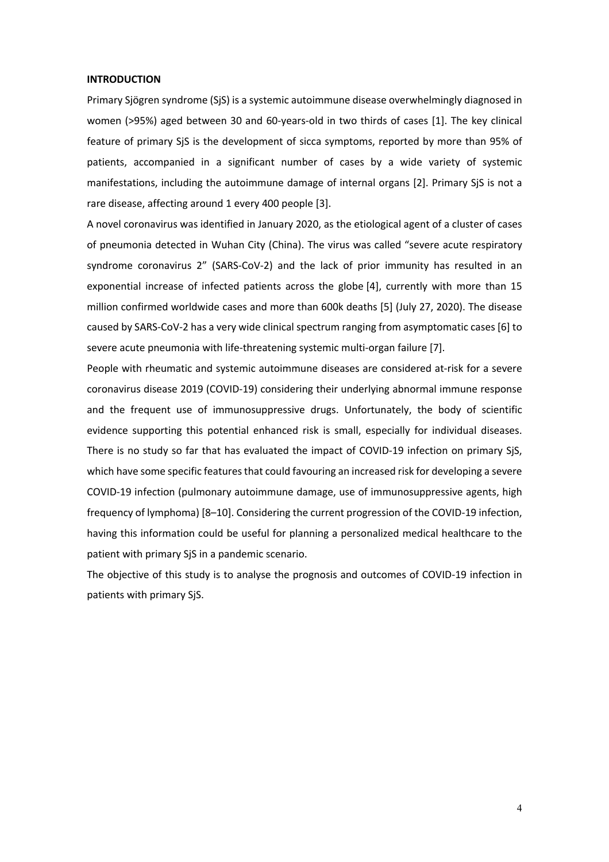#### **INTRODUCTION**

Primary Sjögren syndrome (SjS) is a systemic autoimmune disease overwhelmingly diagnosed in women (>95%) aged between 30 and 60-years-old in two thirds of cases [1]. The key clinical feature of primary SjS is the development of sicca symptoms, reported by more than 95% of patients, accompanied in a significant number of cases by a wide variety of systemic manifestations, including the autoimmune damage of internal organs [2]. Primary SjS is not a rare disease, affecting around 1 every 400 people [3].

A novel coronavirus was identified in January 2020, as the etiological agent of a cluster of cases of pneumonia detected in Wuhan City (China). The virus was called "severe acute respiratory syndrome coronavirus 2" (SARS-CoV-2) and the lack of prior immunity has resulted in an exponential increase of infected patients across the globe [4], currently with more than 15 million confirmed worldwide cases and more than 600k deaths [5] (July 27, 2020). The disease caused by SARS-CoV-2 has a very wide clinical spectrum ranging from asymptomatic cases [6] to severe acute pneumonia with life-threatening systemic multi-organ failure [7].

People with rheumatic and systemic autoimmune diseases are considered at-risk for a severe coronavirus disease 2019 (COVID-19) considering their underlying abnormal immune response and the frequent use of immunosuppressive drugs. Unfortunately, the body of scientific evidence supporting this potential enhanced risk is small, especially for individual diseases. There is no study so far that has evaluated the impact of COVID-19 infection on primary SjS, which have some specific features that could favouring an increased risk for developing a severe COVID-19 infection (pulmonary autoimmune damage, use of immunosuppressive agents, high frequency of lymphoma) [8–10]. Considering the current progression of the COVID-19 infection, having this information could be useful for planning a personalized medical healthcare to the patient with primary SjS in a pandemic scenario.

The objective of this study is to analyse the prognosis and outcomes of COVID-19 infection in patients with primary SjS.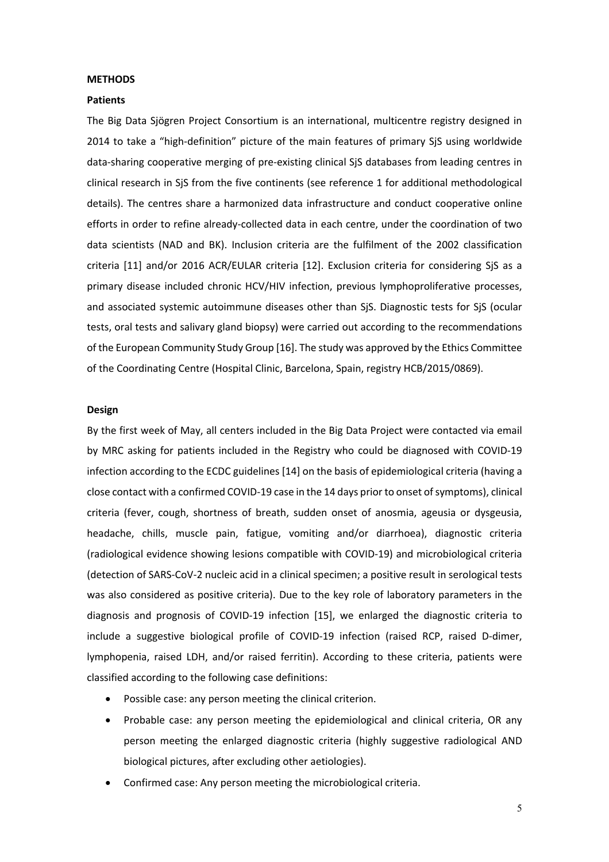#### **METHODS**

#### **Patients**

The Big Data Sjögren Project Consortium is an international, multicentre registry designed in 2014 to take a "high-definition" picture of the main features of primary SjS using worldwide data-sharing cooperative merging of pre-existing clinical SjS databases from leading centres in clinical research in SjS from the five continents (see reference 1 for additional methodological details). The centres share a harmonized data infrastructure and conduct cooperative online efforts in order to refine already-collected data in each centre, under the coordination of two data scientists (NAD and BK). Inclusion criteria are the fulfilment of the 2002 classification criteria [11] and/or 2016 ACR/EULAR criteria [12]. Exclusion criteria for considering SjS as a primary disease included chronic HCV/HIV infection, previous lymphoproliferative processes, and associated systemic autoimmune diseases other than SjS. Diagnostic tests for SjS (ocular tests, oral tests and salivary gland biopsy) were carried out according to the recommendations of the European Community Study Group [16]. The study was approved by the Ethics Committee of the Coordinating Centre (Hospital Clinic, Barcelona, Spain, registry HCB/2015/0869).

#### **Design**

By the first week of May, all centers included in the Big Data Project were contacted via email by MRC asking for patients included in the Registry who could be diagnosed with COVID-19 infection according to the ECDC guidelines [14] on the basis of epidemiological criteria (having a close contact with a confirmed COVID-19 case in the 14 days prior to onset of symptoms), clinical criteria (fever, cough, shortness of breath, sudden onset of anosmia, ageusia or dysgeusia, headache, chills, muscle pain, fatigue, vomiting and/or diarrhoea), diagnostic criteria (radiological evidence showing lesions compatible with COVID-19) and microbiological criteria (detection of SARS-CoV-2 nucleic acid in a clinical specimen; a positive result in serological tests was also considered as positive criteria). Due to the key role of laboratory parameters in the diagnosis and prognosis of COVID-19 infection [15], we enlarged the diagnostic criteria to include a suggestive biological profile of COVID-19 infection (raised RCP, raised D-dimer, lymphopenia, raised LDH, and/or raised ferritin). According to these criteria, patients were classified according to the following case definitions:

- Possible case: any person meeting the clinical criterion.
- Probable case: any person meeting the epidemiological and clinical criteria, OR any person meeting the enlarged diagnostic criteria (highly suggestive radiological AND biological pictures, after excluding other aetiologies).
- Confirmed case: Any person meeting the microbiological criteria.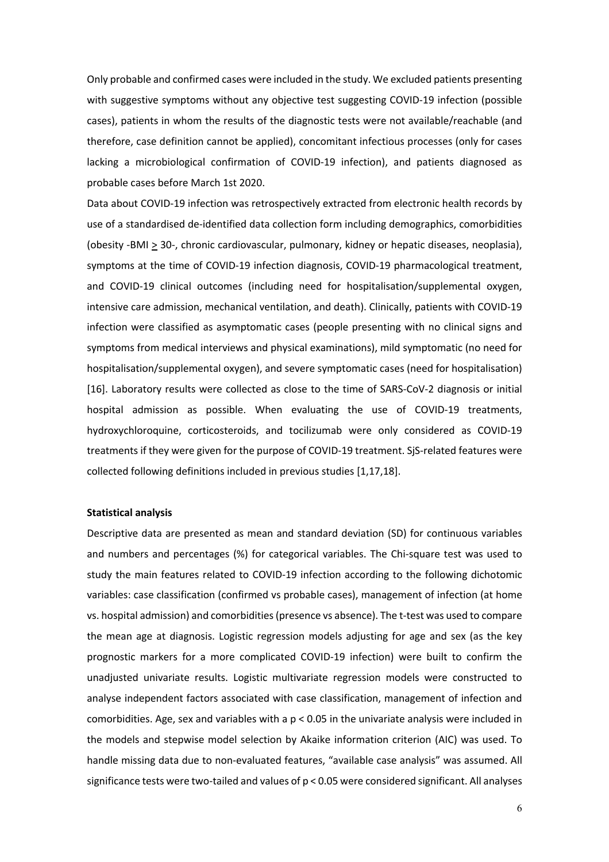Only probable and confirmed cases were included in the study. We excluded patients presenting with suggestive symptoms without any objective test suggesting COVID-19 infection (possible cases), patients in whom the results of the diagnostic tests were not available/reachable (and therefore, case definition cannot be applied), concomitant infectious processes (only for cases lacking a microbiological confirmation of COVID-19 infection), and patients diagnosed as probable cases before March 1st 2020.

Data about COVID-19 infection was retrospectively extracted from electronic health records by use of a standardised de-identified data collection form including demographics, comorbidities (obesity -BMI > 30-, chronic cardiovascular, pulmonary, kidney or hepatic diseases, neoplasia), symptoms at the time of COVID-19 infection diagnosis, COVID-19 pharmacological treatment, and COVID-19 clinical outcomes (including need for hospitalisation/supplemental oxygen, intensive care admission, mechanical ventilation, and death). Clinically, patients with COVID-19 infection were classified as asymptomatic cases (people presenting with no clinical signs and symptoms from medical interviews and physical examinations), mild symptomatic (no need for hospitalisation/supplemental oxygen), and severe symptomatic cases (need for hospitalisation) [16]. Laboratory results were collected as close to the time of SARS-CoV-2 diagnosis or initial hospital admission as possible. When evaluating the use of COVID-19 treatments, hydroxychloroquine, corticosteroids, and tocilizumab were only considered as COVID-19 treatments if they were given for the purpose of COVID-19 treatment. SjS-related features were collected following definitions included in previous studies [1,17,18].

#### **Statistical analysis**

Descriptive data are presented as mean and standard deviation (SD) for continuous variables and numbers and percentages (%) for categorical variables. The Chi-square test was used to study the main features related to COVID-19 infection according to the following dichotomic variables: case classification (confirmed vs probable cases), management of infection (at home vs. hospital admission) and comorbidities (presence vs absence). The t-test was used to compare the mean age at diagnosis. Logistic regression models adjusting for age and sex (as the key prognostic markers for a more complicated COVID-19 infection) were built to confirm the unadjusted univariate results. Logistic multivariate regression models were constructed to analyse independent factors associated with case classification, management of infection and comorbidities. Age, sex and variables with a  $p < 0.05$  in the univariate analysis were included in the models and stepwise model selection by Akaike information criterion (AIC) was used. To handle missing data due to non-evaluated features, "available case analysis" was assumed. All significance tests were two-tailed and values of p < 0.05 were considered significant. All analyses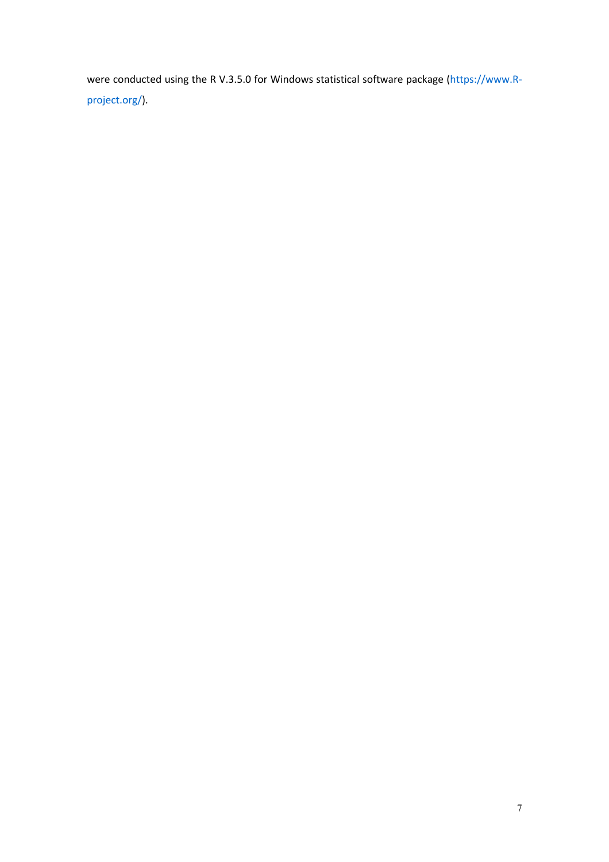were conducted using the R V.3.5.0 for Windows statistical software package (https://www.Rproject.org/).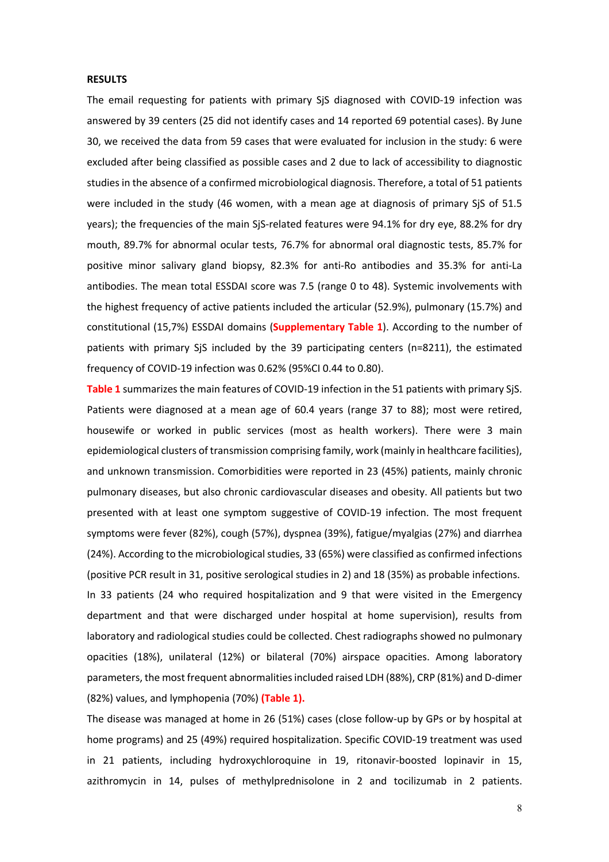#### **RESULTS**

The email requesting for patients with primary SjS diagnosed with COVID-19 infection was answered by 39 centers (25 did not identify cases and 14 reported 69 potential cases). By June 30, we received the data from 59 cases that were evaluated for inclusion in the study: 6 were excluded after being classified as possible cases and 2 due to lack of accessibility to diagnostic studies in the absence of a confirmed microbiological diagnosis. Therefore, a total of 51 patients were included in the study (46 women, with a mean age at diagnosis of primary SjS of 51.5 years); the frequencies of the main SjS-related features were 94.1% for dry eye, 88.2% for dry mouth, 89.7% for abnormal ocular tests, 76.7% for abnormal oral diagnostic tests, 85.7% for positive minor salivary gland biopsy, 82.3% for anti-Ro antibodies and 35.3% for anti-La antibodies. The mean total ESSDAI score was 7.5 (range 0 to 48). Systemic involvements with the highest frequency of active patients included the articular (52.9%), pulmonary (15.7%) and constitutional (15,7%) ESSDAI domains (**Supplementary Table 1**). According to the number of patients with primary SjS included by the 39 participating centers (n=8211), the estimated frequency of COVID-19 infection was 0.62% (95%CI 0.44 to 0.80).

**Table 1** summarizes the main features of COVID-19 infection in the 51 patients with primary SjS. Patients were diagnosed at a mean age of 60.4 years (range 37 to 88); most were retired, housewife or worked in public services (most as health workers). There were 3 main epidemiological clusters of transmission comprising family, work (mainly in healthcare facilities), and unknown transmission. Comorbidities were reported in 23 (45%) patients, mainly chronic pulmonary diseases, but also chronic cardiovascular diseases and obesity. All patients but two presented with at least one symptom suggestive of COVID-19 infection. The most frequent symptoms were fever (82%), cough (57%), dyspnea (39%), fatigue/myalgias (27%) and diarrhea (24%). According to the microbiological studies, 33 (65%) were classified as confirmed infections (positive PCR result in 31, positive serological studies in 2) and 18 (35%) as probable infections. In 33 patients (24 who required hospitalization and 9 that were visited in the Emergency department and that were discharged under hospital at home supervision), results from laboratory and radiological studies could be collected. Chest radiographs showed no pulmonary opacities (18%), unilateral (12%) or bilateral (70%) airspace opacities. Among laboratory parameters, the most frequent abnormalities included raised LDH (88%), CRP (81%) and D-dimer (82%) values, and lymphopenia (70%) **(Table 1).**

The disease was managed at home in 26 (51%) cases (close follow-up by GPs or by hospital at home programs) and 25 (49%) required hospitalization. Specific COVID-19 treatment was used in 21 patients, including hydroxychloroquine in 19, ritonavir-boosted lopinavir in 15, azithromycin in 14, pulses of methylprednisolone in 2 and tocilizumab in 2 patients.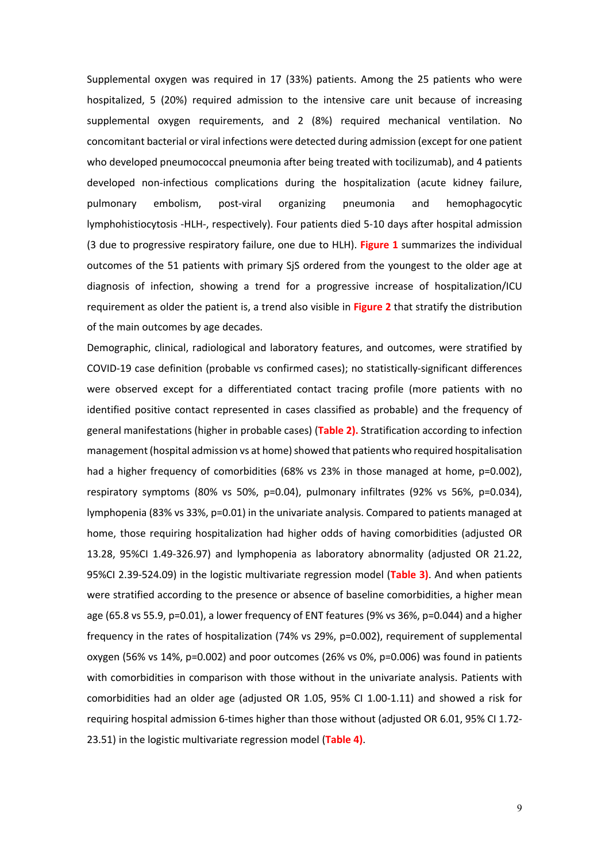Supplemental oxygen was required in 17 (33%) patients. Among the 25 patients who were hospitalized, 5 (20%) required admission to the intensive care unit because of increasing supplemental oxygen requirements, and 2 (8%) required mechanical ventilation. No concomitant bacterial or viral infections were detected during admission (except for one patient who developed pneumococcal pneumonia after being treated with tocilizumab), and 4 patients developed non-infectious complications during the hospitalization (acute kidney failure, pulmonary embolism, post-viral organizing pneumonia and hemophagocytic lymphohistiocytosis -HLH-, respectively). Four patients died 5-10 days after hospital admission (3 due to progressive respiratory failure, one due to HLH). **Figure 1** summarizes the individual outcomes of the 51 patients with primary SjS ordered from the youngest to the older age at diagnosis of infection, showing a trend for a progressive increase of hospitalization/ICU requirement as older the patient is, a trend also visible in **Figure 2** that stratify the distribution of the main outcomes by age decades.

Demographic, clinical, radiological and laboratory features, and outcomes, were stratified by COVID-19 case definition (probable vs confirmed cases); no statistically-significant differences were observed except for a differentiated contact tracing profile (more patients with no identified positive contact represented in cases classified as probable) and the frequency of general manifestations (higher in probable cases) (**Table 2).** Stratification according to infection management (hospital admission vs at home) showed that patients who required hospitalisation had a higher frequency of comorbidities (68% vs 23% in those managed at home, p=0.002), respiratory symptoms (80% vs 50%, p=0.04), pulmonary infiltrates (92% vs 56%, p=0.034), lymphopenia (83% vs 33%, p=0.01) in the univariate analysis. Compared to patients managed at home, those requiring hospitalization had higher odds of having comorbidities (adjusted OR 13.28, 95%CI 1.49-326.97) and lymphopenia as laboratory abnormality (adjusted OR 21.22, 95%CI 2.39-524.09) in the logistic multivariate regression model (**Table 3)**. And when patients were stratified according to the presence or absence of baseline comorbidities, a higher mean age (65.8 vs 55.9, p=0.01), a lower frequency of ENT features (9% vs 36%, p=0.044) and a higher frequency in the rates of hospitalization (74% vs 29%, p=0.002), requirement of supplemental oxygen (56% vs 14%, p=0.002) and poor outcomes (26% vs 0%, p=0.006) was found in patients with comorbidities in comparison with those without in the univariate analysis. Patients with comorbidities had an older age (adjusted OR 1.05, 95% CI 1.00-1.11) and showed a risk for requiring hospital admission 6-times higher than those without (adjusted OR 6.01, 95% CI 1.72- 23.51) in the logistic multivariate regression model (**Table 4)**.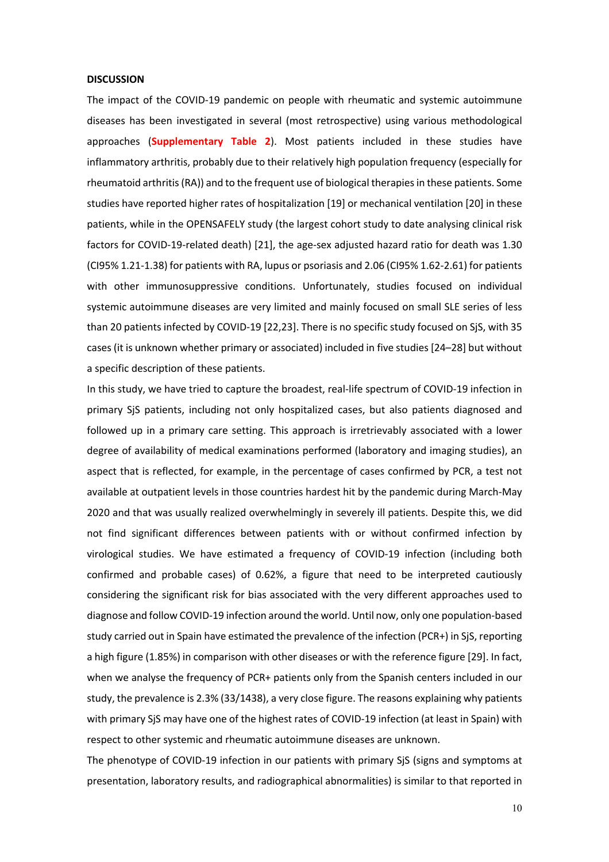#### **DISCUSSION**

The impact of the COVID-19 pandemic on people with rheumatic and systemic autoimmune diseases has been investigated in several (most retrospective) using various methodological approaches (**Supplementary Table 2**). Most patients included in these studies have inflammatory arthritis, probably due to their relatively high population frequency (especially for rheumatoid arthritis (RA)) and to the frequent use of biological therapiesin these patients. Some studies have reported higher rates of hospitalization [19] or mechanical ventilation [20] in these patients, while in the OPENSAFELY study (the largest cohort study to date analysing clinical risk factors for COVID-19-related death) [21], the age-sex adjusted hazard ratio for death was 1.30 (CI95% 1.21-1.38) for patients with RA, lupus or psoriasis and 2.06 (CI95% 1.62-2.61) for patients with other immunosuppressive conditions. Unfortunately, studies focused on individual systemic autoimmune diseases are very limited and mainly focused on small SLE series of less than 20 patients infected by COVID-19 [22,23]. There is no specific study focused on SjS, with 35 cases (it is unknown whether primary or associated) included in five studies [24–28] but without a specific description of these patients.

In this study, we have tried to capture the broadest, real-life spectrum of COVID-19 infection in primary SjS patients, including not only hospitalized cases, but also patients diagnosed and followed up in a primary care setting. This approach is irretrievably associated with a lower degree of availability of medical examinations performed (laboratory and imaging studies), an aspect that is reflected, for example, in the percentage of cases confirmed by PCR, a test not available at outpatient levels in those countries hardest hit by the pandemic during March-May 2020 and that was usually realized overwhelmingly in severely ill patients. Despite this, we did not find significant differences between patients with or without confirmed infection by virological studies. We have estimated a frequency of COVID-19 infection (including both confirmed and probable cases) of 0.62%, a figure that need to be interpreted cautiously considering the significant risk for bias associated with the very different approaches used to diagnose and follow COVID-19 infection around the world. Until now, only one population-based study carried out in Spain have estimated the prevalence of the infection (PCR+) in SjS, reporting a high figure (1.85%) in comparison with other diseases or with the reference figure [29]. In fact, when we analyse the frequency of PCR+ patients only from the Spanish centers included in our study, the prevalence is 2.3% (33/1438), a very close figure. The reasons explaining why patients with primary SjS may have one of the highest rates of COVID-19 infection (at least in Spain) with respect to other systemic and rheumatic autoimmune diseases are unknown.

The phenotype of COVID-19 infection in our patients with primary SjS (signs and symptoms at presentation, laboratory results, and radiographical abnormalities) is similar to that reported in

10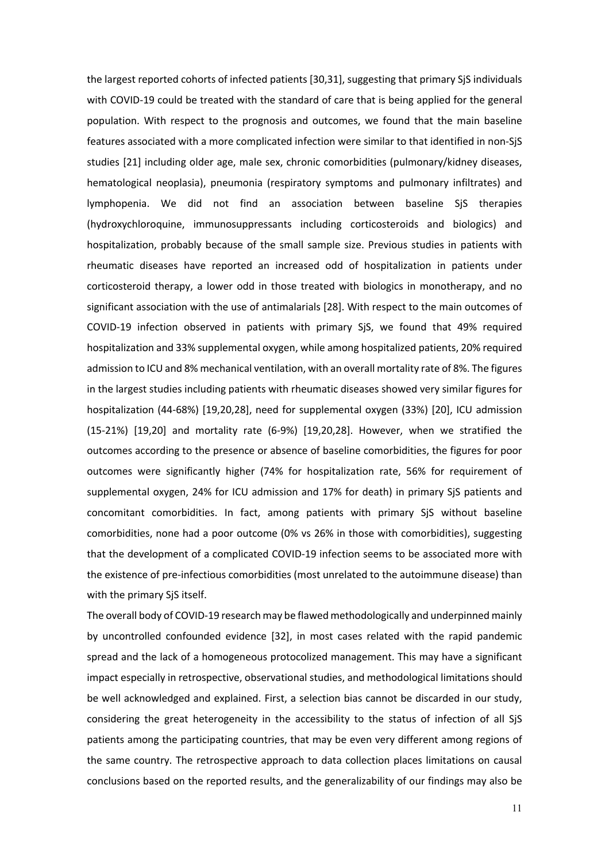the largest reported cohorts of infected patients [30,31], suggesting that primary SjS individuals with COVID-19 could be treated with the standard of care that is being applied for the general population. With respect to the prognosis and outcomes, we found that the main baseline features associated with a more complicated infection were similar to that identified in non-SjS studies [21] including older age, male sex, chronic comorbidities (pulmonary/kidney diseases, hematological neoplasia), pneumonia (respiratory symptoms and pulmonary infiltrates) and lymphopenia. We did not find an association between baseline SjS therapies (hydroxychloroquine, immunosuppressants including corticosteroids and biologics) and hospitalization, probably because of the small sample size. Previous studies in patients with rheumatic diseases have reported an increased odd of hospitalization in patients under corticosteroid therapy, a lower odd in those treated with biologics in monotherapy, and no significant association with the use of antimalarials [28]. With respect to the main outcomes of COVID-19 infection observed in patients with primary SjS, we found that 49% required hospitalization and 33% supplemental oxygen, while among hospitalized patients, 20% required admission to ICU and 8% mechanical ventilation, with an overall mortality rate of 8%. The figures in the largest studies including patients with rheumatic diseases showed very similar figures for hospitalization (44-68%) [19,20,28], need for supplemental oxygen (33%) [20], ICU admission (15-21%) [19,20] and mortality rate (6-9%) [19,20,28]. However, when we stratified the outcomes according to the presence or absence of baseline comorbidities, the figures for poor outcomes were significantly higher (74% for hospitalization rate, 56% for requirement of supplemental oxygen, 24% for ICU admission and 17% for death) in primary SjS patients and concomitant comorbidities. In fact, among patients with primary SjS without baseline comorbidities, none had a poor outcome (0% vs 26% in those with comorbidities), suggesting that the development of a complicated COVID-19 infection seems to be associated more with the existence of pre-infectious comorbidities (most unrelated to the autoimmune disease) than with the primary SjS itself.

The overall body of COVID-19 research may be flawed methodologically and underpinned mainly by uncontrolled confounded evidence [32], in most cases related with the rapid pandemic spread and the lack of a homogeneous protocolized management. This may have a significant impact especially in retrospective, observational studies, and methodological limitations should be well acknowledged and explained. First, a selection bias cannot be discarded in our study, considering the great heterogeneity in the accessibility to the status of infection of all SjS patients among the participating countries, that may be even very different among regions of the same country. The retrospective approach to data collection places limitations on causal conclusions based on the reported results, and the generalizability of our findings may also be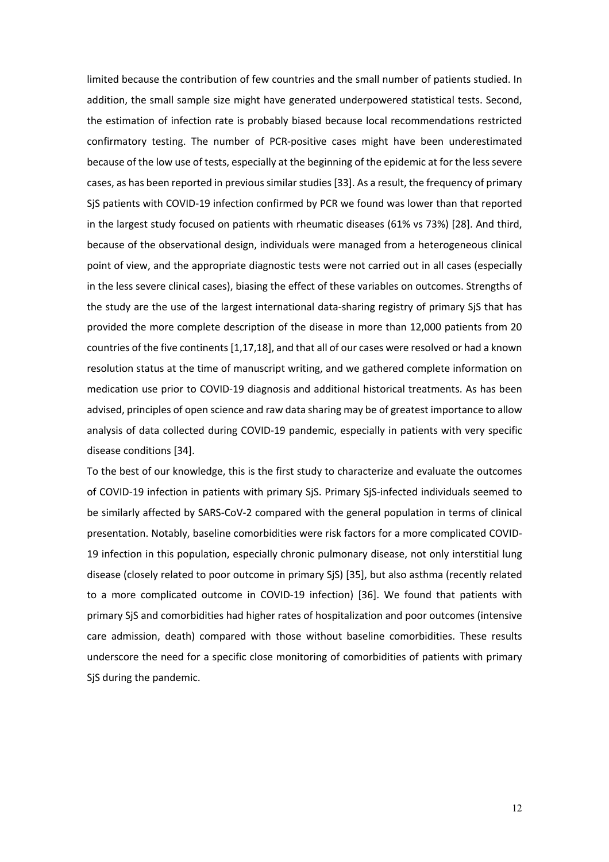limited because the contribution of few countries and the small number of patients studied. In addition, the small sample size might have generated underpowered statistical tests. Second, the estimation of infection rate is probably biased because local recommendations restricted confirmatory testing. The number of PCR-positive cases might have been underestimated because of the low use of tests, especially at the beginning of the epidemic at for the less severe cases, as has been reported in previous similar studies [33]. As a result, the frequency of primary SjS patients with COVID-19 infection confirmed by PCR we found was lower than that reported in the largest study focused on patients with rheumatic diseases (61% vs 73%) [28]. And third, because of the observational design, individuals were managed from a heterogeneous clinical point of view, and the appropriate diagnostic tests were not carried out in all cases (especially in the less severe clinical cases), biasing the effect of these variables on outcomes. Strengths of the study are the use of the largest international data-sharing registry of primary SjS that has provided the more complete description of the disease in more than 12,000 patients from 20 countries of the five continents [1,17,18], and that all of our cases were resolved or had a known resolution status at the time of manuscript writing, and we gathered complete information on medication use prior to COVID-19 diagnosis and additional historical treatments. As has been advised, principles of open science and raw data sharing may be of greatest importance to allow analysis of data collected during COVID-19 pandemic, especially in patients with very specific disease conditions [34].

To the best of our knowledge, this is the first study to characterize and evaluate the outcomes of COVID-19 infection in patients with primary SjS. Primary SjS-infected individuals seemed to be similarly affected by SARS-CoV-2 compared with the general population in terms of clinical presentation. Notably, baseline comorbidities were risk factors for a more complicated COVID-19 infection in this population, especially chronic pulmonary disease, not only interstitial lung disease (closely related to poor outcome in primary SjS) [35], but also asthma (recently related to a more complicated outcome in COVID-19 infection) [36]. We found that patients with primary SjS and comorbidities had higher rates of hospitalization and poor outcomes (intensive care admission, death) compared with those without baseline comorbidities. These results underscore the need for a specific close monitoring of comorbidities of patients with primary SjS during the pandemic.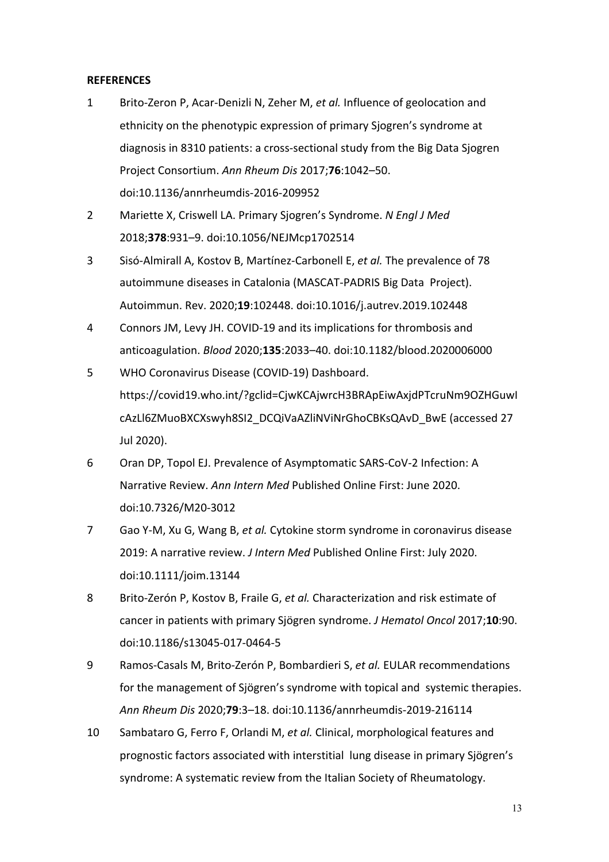## **REFERENCES**

- 1 Brito-Zeron P, Acar-Denizli N, Zeher M, *et al.* Influence of geolocation and ethnicity on the phenotypic expression of primary Sjogren's syndrome at diagnosis in 8310 patients: a cross-sectional study from the Big Data Sjogren Project Consortium. *Ann Rheum Dis* 2017;**76**:1042–50. doi:10.1136/annrheumdis-2016-209952
- 2 Mariette X, Criswell LA. Primary Sjogren's Syndrome. *N Engl J Med* 2018;**378**:931–9. doi:10.1056/NEJMcp1702514
- 3 Sisó-Almirall A, Kostov B, Martínez-Carbonell E, *et al.* The prevalence of 78 autoimmune diseases in Catalonia (MASCAT-PADRIS Big Data Project). Autoimmun. Rev. 2020;**19**:102448. doi:10.1016/j.autrev.2019.102448
- 4 Connors JM, Levy JH. COVID-19 and its implications for thrombosis and anticoagulation. *Blood* 2020;**135**:2033–40. doi:10.1182/blood.2020006000
- 5 WHO Coronavirus Disease (COVID-19) Dashboard. https://covid19.who.int/?gclid=CjwKCAjwrcH3BRApEiwAxjdPTcruNm9OZHGuwI cAzLl6ZMuoBXCXswyh8SI2\_DCQiVaAZliNViNrGhoCBKsQAvD\_BwE (accessed 27 Jul 2020).
- 6 Oran DP, Topol EJ. Prevalence of Asymptomatic SARS-CoV-2 Infection: A Narrative Review. *Ann Intern Med* Published Online First: June 2020. doi:10.7326/M20-3012
- 7 Gao Y-M, Xu G, Wang B, *et al.* Cytokine storm syndrome in coronavirus disease 2019: A narrative review. *J Intern Med* Published Online First: July 2020. doi:10.1111/joim.13144
- 8 Brito-Zerón P, Kostov B, Fraile G, *et al.* Characterization and risk estimate of cancer in patients with primary Sjögren syndrome. *J Hematol Oncol* 2017;**10**:90. doi:10.1186/s13045-017-0464-5
- 9 Ramos-Casals M, Brito-Zerón P, Bombardieri S, *et al.* EULAR recommendations for the management of Sjögren's syndrome with topical and systemic therapies. *Ann Rheum Dis* 2020;**79**:3–18. doi:10.1136/annrheumdis-2019-216114
- 10 Sambataro G, Ferro F, Orlandi M, *et al.* Clinical, morphological features and prognostic factors associated with interstitial lung disease in primary Sjӧgren's syndrome: A systematic review from the Italian Society of Rheumatology.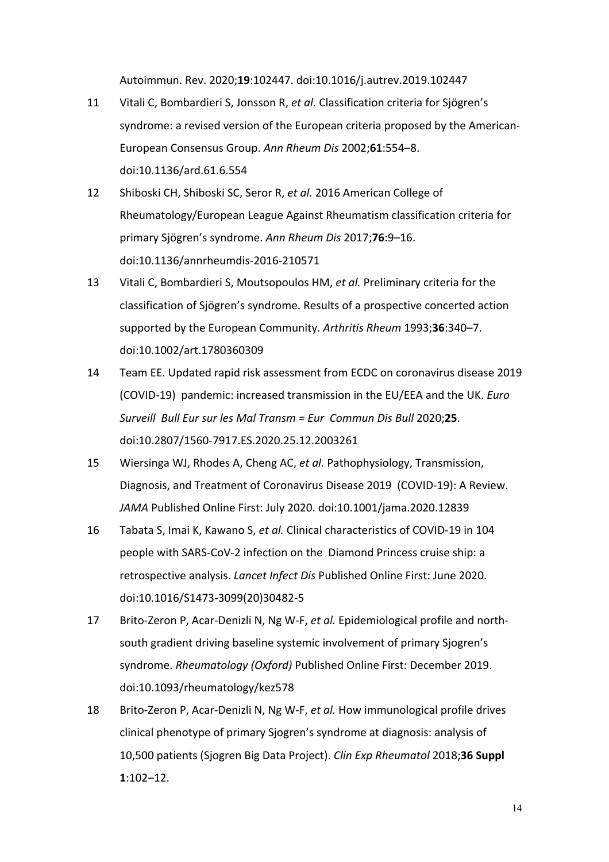Autoimmun. Rev. 2020;**19**:102447. doi:10.1016/j.autrev.2019.102447

- 11 Vitali C, Bombardieri S, Jonsson R, *et al.* Classification criteria for Sjögren's syndrome: a revised version of the European criteria proposed by the American-European Consensus Group. *Ann Rheum Dis* 2002;**61**:554–8. doi:10.1136/ard.61.6.554
- 12 Shiboski CH, Shiboski SC, Seror R, *et al.* 2016 American College of Rheumatology/European League Against Rheumatism classification criteria for primary Sjögren's syndrome. *Ann Rheum Dis* 2017;**76**:9–16. doi:10.1136/annrheumdis-2016-210571
- 13 Vitali C, Bombardieri S, Moutsopoulos HM, *et al.* Preliminary criteria for the classification of Sjögren's syndrome. Results of a prospective concerted action supported by the European Community. *Arthritis Rheum* 1993;**36**:340–7. doi:10.1002/art.1780360309
- 14 Team EE. Updated rapid risk assessment from ECDC on coronavirus disease 2019 (COVID-19) pandemic: increased transmission in the EU/EEA and the UK. *Euro Surveill Bull Eur sur les Mal Transm = Eur Commun Dis Bull* 2020;**25**. doi:10.2807/1560-7917.ES.2020.25.12.2003261
- 15 Wiersinga WJ, Rhodes A, Cheng AC, *et al.* Pathophysiology, Transmission, Diagnosis, and Treatment of Coronavirus Disease 2019 (COVID-19): A Review. *JAMA* Published Online First: July 2020. doi:10.1001/jama.2020.12839
- 16 Tabata S, Imai K, Kawano S, *et al.* Clinical characteristics of COVID-19 in 104 people with SARS-CoV-2 infection on the Diamond Princess cruise ship: a retrospective analysis. *Lancet Infect Dis* Published Online First: June 2020. doi:10.1016/S1473-3099(20)30482-5
- 17 Brito-Zeron P, Acar-Denizli N, Ng W-F, *et al.* Epidemiological profile and northsouth gradient driving baseline systemic involvement of primary Sjogren's syndrome. *Rheumatology (Oxford)* Published Online First: December 2019. doi:10.1093/rheumatology/kez578
- 18 Brito-Zeron P, Acar-Denizli N, Ng W-F, *et al.* How immunological profile drives clinical phenotype of primary Sjogren's syndrome at diagnosis: analysis of 10,500 patients (Sjogren Big Data Project). *Clin Exp Rheumatol* 2018;**36 Suppl 1**:102–12.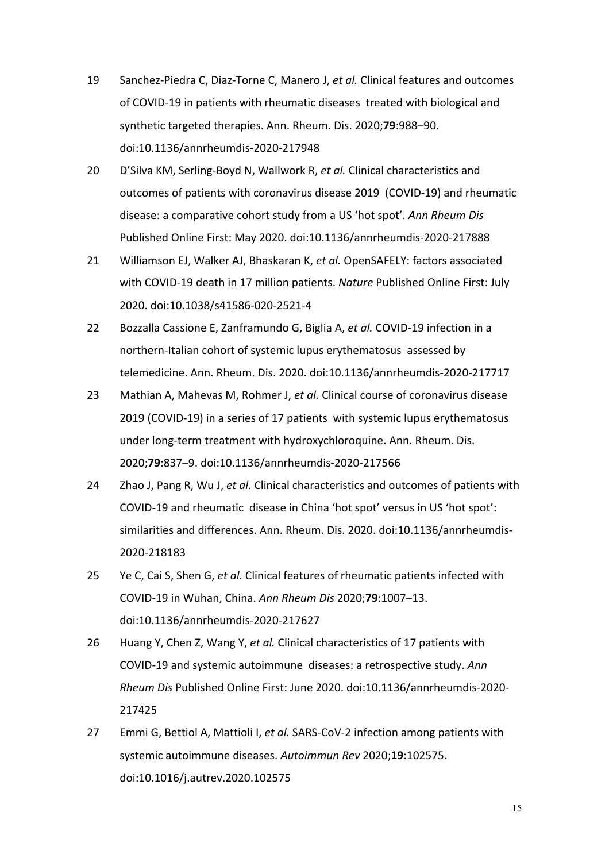- 19 Sanchez-Piedra C, Diaz-Torne C, Manero J, *et al.* Clinical features and outcomes of COVID-19 in patients with rheumatic diseases treated with biological and synthetic targeted therapies. Ann. Rheum. Dis. 2020;**79**:988–90. doi:10.1136/annrheumdis-2020-217948
- 20 D'Silva KM, Serling-Boyd N, Wallwork R, *et al.* Clinical characteristics and outcomes of patients with coronavirus disease 2019 (COVID-19) and rheumatic disease: a comparative cohort study from a US 'hot spot'. *Ann Rheum Dis* Published Online First: May 2020. doi:10.1136/annrheumdis-2020-217888
- 21 Williamson EJ, Walker AJ, Bhaskaran K, *et al.* OpenSAFELY: factors associated with COVID-19 death in 17 million patients. *Nature* Published Online First: July 2020. doi:10.1038/s41586-020-2521-4
- 22 Bozzalla Cassione E, Zanframundo G, Biglia A, *et al.* COVID-19 infection in a northern-Italian cohort of systemic lupus erythematosus assessed by telemedicine. Ann. Rheum. Dis. 2020. doi:10.1136/annrheumdis-2020-217717
- 23 Mathian A, Mahevas M, Rohmer J, *et al.* Clinical course of coronavirus disease 2019 (COVID-19) in a series of 17 patients with systemic lupus erythematosus under long-term treatment with hydroxychloroquine. Ann. Rheum. Dis. 2020;**79**:837–9. doi:10.1136/annrheumdis-2020-217566
- 24 Zhao J, Pang R, Wu J, *et al.* Clinical characteristics and outcomes of patients with COVID-19 and rheumatic disease in China 'hot spot' versus in US 'hot spot': similarities and differences. Ann. Rheum. Dis. 2020. doi:10.1136/annrheumdis-2020-218183
- 25 Ye C, Cai S, Shen G, *et al.* Clinical features of rheumatic patients infected with COVID-19 in Wuhan, China. *Ann Rheum Dis* 2020;**79**:1007–13. doi:10.1136/annrheumdis-2020-217627
- 26 Huang Y, Chen Z, Wang Y, *et al.* Clinical characteristics of 17 patients with COVID-19 and systemic autoimmune diseases: a retrospective study. *Ann Rheum Dis* Published Online First: June 2020. doi:10.1136/annrheumdis-2020- 217425
- 27 Emmi G, Bettiol A, Mattioli I, *et al.* SARS-CoV-2 infection among patients with systemic autoimmune diseases. *Autoimmun Rev* 2020;**19**:102575. doi:10.1016/j.autrev.2020.102575

15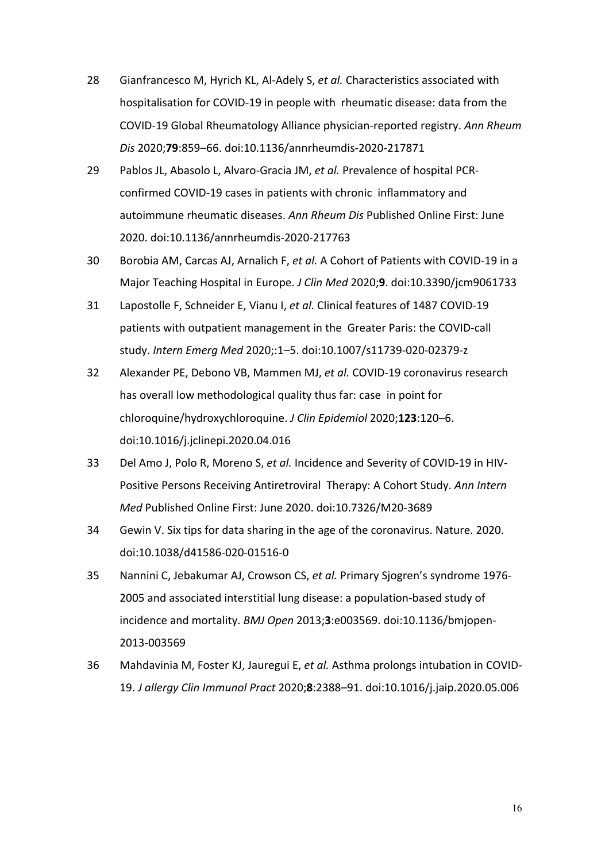- 28 Gianfrancesco M, Hyrich KL, Al-Adely S, *et al.* Characteristics associated with hospitalisation for COVID-19 in people with rheumatic disease: data from the COVID-19 Global Rheumatology Alliance physician-reported registry. *Ann Rheum Dis* 2020;**79**:859–66. doi:10.1136/annrheumdis-2020-217871
- 29 Pablos JL, Abasolo L, Alvaro-Gracia JM, *et al.* Prevalence of hospital PCRconfirmed COVID-19 cases in patients with chronic inflammatory and autoimmune rheumatic diseases. *Ann Rheum Dis* Published Online First: June 2020. doi:10.1136/annrheumdis-2020-217763
- 30 Borobia AM, Carcas AJ, Arnalich F, *et al.* A Cohort of Patients with COVID-19 in a Major Teaching Hospital in Europe. *J Clin Med* 2020;**9**. doi:10.3390/jcm9061733
- 31 Lapostolle F, Schneider E, Vianu I, *et al.* Clinical features of 1487 COVID-19 patients with outpatient management in the Greater Paris: the COVID-call study. *Intern Emerg Med* 2020;:1–5. doi:10.1007/s11739-020-02379-z
- 32 Alexander PE, Debono VB, Mammen MJ, *et al.* COVID-19 coronavirus research has overall low methodological quality thus far: case in point for chloroquine/hydroxychloroquine. *J Clin Epidemiol* 2020;**123**:120–6. doi:10.1016/j.jclinepi.2020.04.016
- 33 Del Amo J, Polo R, Moreno S, *et al.* Incidence and Severity of COVID-19 in HIV-Positive Persons Receiving Antiretroviral Therapy: A Cohort Study. *Ann Intern Med* Published Online First: June 2020. doi:10.7326/M20-3689
- 34 Gewin V. Six tips for data sharing in the age of the coronavirus. Nature. 2020. doi:10.1038/d41586-020-01516-0
- 35 Nannini C, Jebakumar AJ, Crowson CS, *et al.* Primary Sjogren's syndrome 1976- 2005 and associated interstitial lung disease: a population-based study of incidence and mortality. *BMJ Open* 2013;**3**:e003569. doi:10.1136/bmjopen-2013-003569
- 36 Mahdavinia M, Foster KJ, Jauregui E, *et al.* Asthma prolongs intubation in COVID-19. *J allergy Clin Immunol Pract* 2020;**8**:2388–91. doi:10.1016/j.jaip.2020.05.006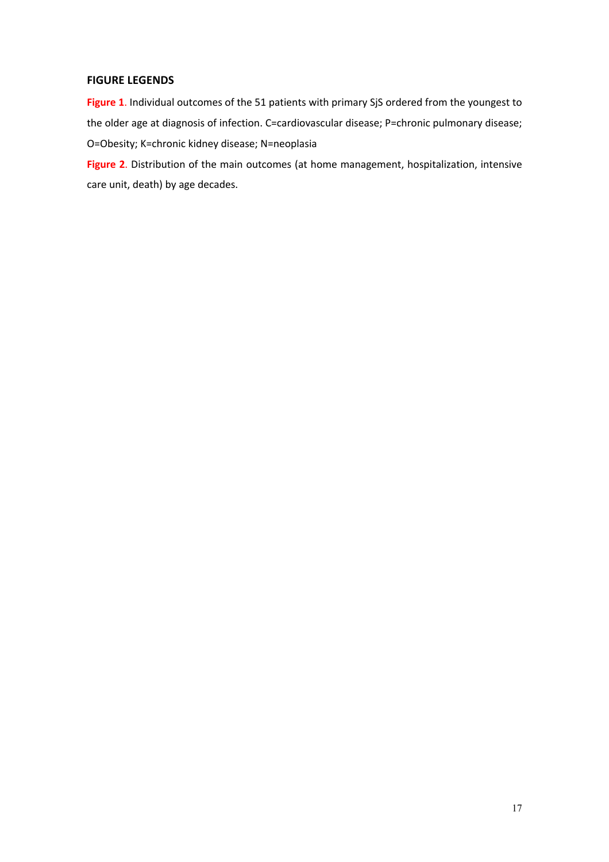# **FIGURE LEGENDS**

**Figure 1**. Individual outcomes of the 51 patients with primary SjS ordered from the youngest to the older age at diagnosis of infection. C=cardiovascular disease; P=chronic pulmonary disease; O=Obesity; K=chronic kidney disease; N=neoplasia

**Figure 2**. Distribution of the main outcomes (at home management, hospitalization, intensive care unit, death) by age decades.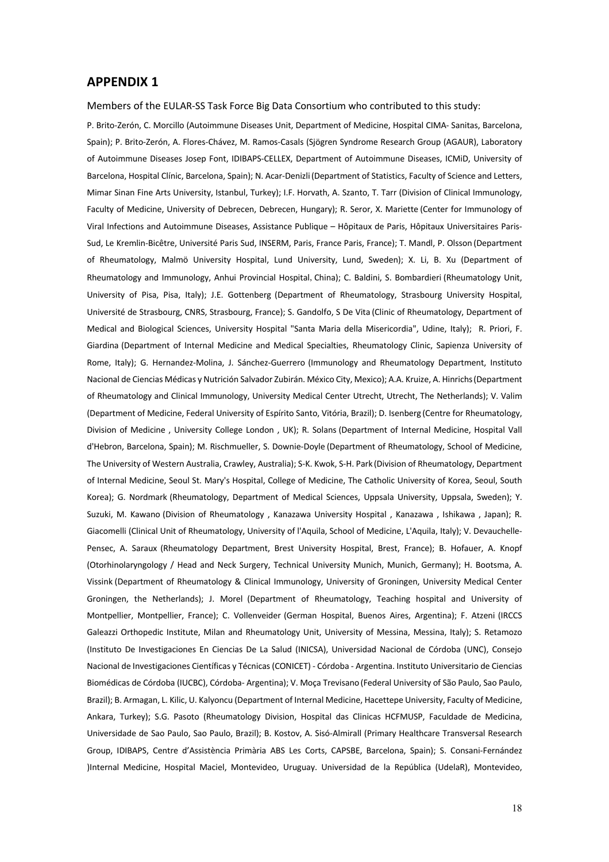### **APPENDIX 1**

Members of the EULAR-SS Task Force Big Data Consortium who contributed to this study:

P. Brito-Zerón, C. Morcillo (Autoimmune Diseases Unit, Department of Medicine, Hospital CIMA- Sanitas, Barcelona, Spain); P. Brito-Zerón, A. Flores-Chávez, M. Ramos-Casals (Sjögren Syndrome Research Group (AGAUR), Laboratory of Autoimmune Diseases Josep Font, IDIBAPS-CELLEX, Department of Autoimmune Diseases, ICMiD, University of Barcelona, Hospital Clínic, Barcelona, Spain); N. Acar-Denizli(Department of Statistics, Faculty of Science and Letters, Mimar Sinan Fine Arts University, Istanbul, Turkey); I.F. Horvath, A. Szanto, T. Tarr (Division of Clinical Immunology, Faculty of Medicine, University of Debrecen, Debrecen, Hungary); R. Seror, X. Mariette (Center for Immunology of Viral Infections and Autoimmune Diseases, Assistance Publique – Hôpitaux de Paris, Hôpitaux Universitaires Paris-Sud, Le Kremlin-Bicêtre, Université Paris Sud, INSERM, Paris, France Paris, France); T. Mandl, P. Olsson (Department of Rheumatology, Malmö University Hospital, Lund University, Lund, Sweden); X. Li, B. Xu (Department of Rheumatology and Immunology, Anhui Provincial Hospital, China); C. Baldini, S. Bombardieri (Rheumatology Unit, University of Pisa, Pisa, Italy); J.E. Gottenberg (Department of Rheumatology, Strasbourg University Hospital, Université de Strasbourg, CNRS, Strasbourg, France); S. Gandolfo, S De Vita (Clinic of Rheumatology, Department of Medical and Biological Sciences, University Hospital "Santa Maria della Misericordia", Udine, Italy); R. Priori, F. Giardina (Department of Internal Medicine and Medical Specialties, Rheumatology Clinic, Sapienza University of Rome, Italy); G. Hernandez-Molina, J. Sánchez-Guerrero (Immunology and Rheumatology Department, Instituto Nacional de Ciencias Médicas y Nutrición Salvador Zubirán. México City, Mexico); A.A. Kruize, A. Hinrichs(Department of Rheumatology and Clinical Immunology, University Medical Center Utrecht, Utrecht, The Netherlands); V. Valim (Department of Medicine, Federal University of Espírito Santo, Vitória, Brazil); D. Isenberg (Centre for Rheumatology, Division of Medicine , University College London , UK); R. Solans (Department of Internal Medicine, Hospital Vall d'Hebron, Barcelona, Spain); M. Rischmueller, S. Downie-Doyle (Department of Rheumatology, School of Medicine, The University of Western Australia, Crawley, Australia); S-K. Kwok, S-H. Park (Division of Rheumatology, Department of Internal Medicine, Seoul St. Mary's Hospital, College of Medicine, The Catholic University of Korea, Seoul, South Korea); G. Nordmark (Rheumatology, Department of Medical Sciences, Uppsala University, Uppsala, Sweden); Y. Suzuki, M. Kawano (Division of Rheumatology , Kanazawa University Hospital , Kanazawa , Ishikawa , Japan); R. Giacomelli (Clinical Unit of Rheumatology, University of l'Aquila, School of Medicine, L'Aquila, Italy); V. Devauchelle-Pensec, A. Saraux (Rheumatology Department, Brest University Hospital, Brest, France); B. Hofauer, A. Knopf (Otorhinolaryngology / Head and Neck Surgery, Technical University Munich, Munich, Germany); H. Bootsma, A. Vissink (Department of Rheumatology & Clinical Immunology, University of Groningen, University Medical Center Groningen, the Netherlands); J. Morel (Department of Rheumatology, Teaching hospital and University of Montpellier, Montpellier, France); C. Vollenveider (German Hospital, Buenos Aires, Argentina); F. Atzeni (IRCCS Galeazzi Orthopedic Institute, Milan and Rheumatology Unit, University of Messina, Messina, Italy); S. Retamozo (Instituto De Investigaciones En Ciencias De La Salud (INICSA), Universidad Nacional de Córdoba (UNC), Consejo Nacional de Investigaciones Científicas y Técnicas (CONICET) - Córdoba - Argentina. Instituto Universitario de Ciencias Biomédicas de Córdoba (IUCBC), Córdoba- Argentina); V. Moça Trevisano(Federal University of São Paulo, Sao Paulo, Brazil); B. Armagan, L. Kilic, U. Kalyoncu (Department of Internal Medicine, Hacettepe University, Faculty of Medicine, Ankara, Turkey); S.G. Pasoto (Rheumatology Division, Hospital das Clinicas HCFMUSP, Faculdade de Medicina, Universidade de Sao Paulo, Sao Paulo, Brazil); B. Kostov, A. Sisó-Almirall (Primary Healthcare Transversal Research Group, IDIBAPS, Centre d'Assistència Primària ABS Les Corts, CAPSBE, Barcelona, Spain); S. Consani-Fernández )Internal Medicine, Hospital Maciel, Montevideo, Uruguay. Universidad de la República (UdelaR), Montevideo,